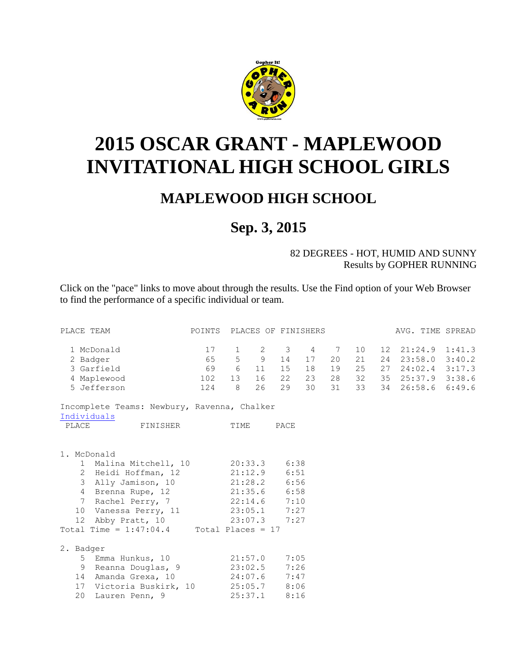

## **2015 OSCAR GRANT - MAPLEWOOD INVITATIONAL HIGH SCHOOL GIRLS**

## **MAPLEWOOD HIGH SCHOOL**

## **Sep. 3, 2015**

## 82 DEGREES - HOT, HUMID AND SUNNY Results by GOPHER RUNNING

Click on the "pace" links to move about through the results. Use the Find option of your Web Browser to find the performance of a specific individual or team.

| PLACE TEAM                                                          | POINTS PLACES OF FINISHERS |                 |    |           |    |    |                 | AVG. TIME SPREAD     |  |
|---------------------------------------------------------------------|----------------------------|-----------------|----|-----------|----|----|-----------------|----------------------|--|
| 1 McDonald                                                          | 17                         | $\mathbf{1}$    |    | 2 3 4 7   |    |    | 10 <sup>°</sup> | 12 21:24.9 1:41.3    |  |
| 2 Badger                                                            |                            |                 |    | 65 5 9 14 | 17 | 20 | 21              | 24 23:58.0 3:40.2    |  |
| 3 Garfield                                                          | 69 6                       |                 |    | 11 15     | 18 | 19 | 25              | 27 24:02.4 3:17.3    |  |
| 4 Maplewood                                                         | 102                        | 13 <sup>7</sup> | 16 | 22        | 23 | 28 | 32              | 35 25:37.9 3:38.6    |  |
| 5 Jefferson                                                         | 124 8                      |                 | 26 | 29        | 30 | 31 |                 | 33 34 26:58.6 6:49.6 |  |
| Incomplete Teams: Newbury, Ravenna, Chalker                         |                            |                 |    |           |    |    |                 |                      |  |
| Individuals                                                         |                            |                 |    |           |    |    |                 |                      |  |
| PLACE<br>FINISHER                                                   | TIME                       |                 |    | PACE      |    |    |                 |                      |  |
|                                                                     |                            |                 |    |           |    |    |                 |                      |  |
| 1. McDonald                                                         |                            |                 |    |           |    |    |                 |                      |  |
| 1 Malina Mitchell, 10 20:33.3 6:38                                  |                            |                 |    |           |    |    |                 |                      |  |
| 2 Heidi Hoffman, 12 21:12.9 6:51                                    |                            |                 |    |           |    |    |                 |                      |  |
| 3 Ally Jamison, 10 21:28.2 6:56                                     |                            |                 |    |           |    |    |                 |                      |  |
| 4 Brenna Rupe, 12 21:35.6 6:58                                      |                            |                 |    |           |    |    |                 |                      |  |
| 7 Rachel Perry, 7 22:14.6 7:10                                      |                            |                 |    |           |    |    |                 |                      |  |
|                                                                     |                            |                 |    |           |    |    |                 |                      |  |
| 10 Vanessa Perry, 11 23:05.1 7:27<br>12 Abby Pratt, 10 23:07.3 7:27 |                            |                 |    |           |    |    |                 |                      |  |
|                                                                     |                            |                 |    |           |    |    |                 |                      |  |
| Total Time = $1:47:04.4$ Total Places = 17                          |                            |                 |    |           |    |    |                 |                      |  |
| 2. Badger                                                           |                            |                 |    |           |    |    |                 |                      |  |
| 5 Emma Hunkus, 10 21:57.0 7:05                                      |                            |                 |    |           |    |    |                 |                      |  |
| 9 Reanna Douglas, 9 23:02.5 7:26                                    |                            |                 |    |           |    |    |                 |                      |  |
| 14 Amanda Grexa, 10 24:07.6 7:47                                    |                            |                 |    |           |    |    |                 |                      |  |
| 17 Victoria Buskirk, 10 25:05.7 8:06                                |                            |                 |    |           |    |    |                 |                      |  |
| 20<br>Lauren Penn, 9                                                |                            | 25:37.1         |    | 8:16      |    |    |                 |                      |  |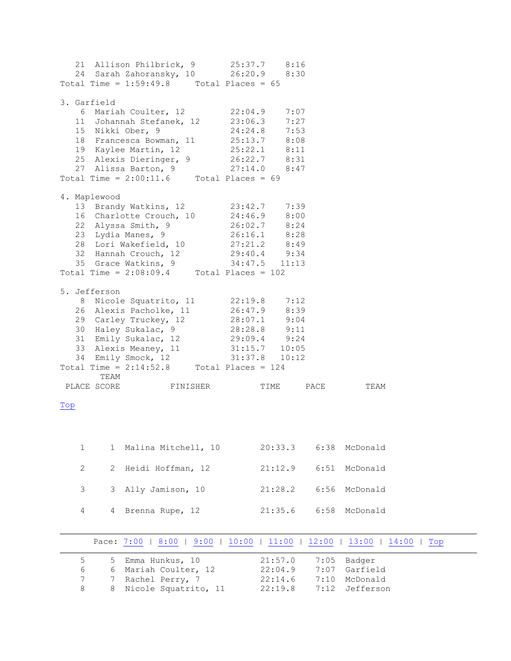|                |                       | 21 Allison Philbrick, 9 25:37.7 8:16<br>24 Sarah Zahoransky, 10   26:20.9   8:30<br>Total Time = $1:59:49.8$ Total Places = $65$                                                      |              |         |      |             |     |
|----------------|-----------------------|---------------------------------------------------------------------------------------------------------------------------------------------------------------------------------------|--------------|---------|------|-------------|-----|
|                |                       |                                                                                                                                                                                       |              |         |      |             |     |
|                | 3. Garfield           |                                                                                                                                                                                       |              |         |      |             |     |
|                |                       | 6 Mariah Coulter, 12 22:04.9 7:07                                                                                                                                                     |              |         |      |             |     |
|                |                       | 11 Johannah Stefanek, 12 23:06.3<br>15 Nikki Ober, 9                                                                                                                                  |              | 7:27    |      |             |     |
|                |                       |                                                                                                                                                                                       | 24:24.8 7:53 |         |      |             |     |
|                |                       | 18 Francesca Bowman, 11 25:13.7 8:08                                                                                                                                                  |              |         |      |             |     |
|                |                       |                                                                                                                                                                                       |              |         |      |             |     |
|                |                       |                                                                                                                                                                                       |              |         |      |             |     |
|                |                       | 19 Kaylee Martin, 12<br>25.22.1<br>25 Alexis Dieringer, 9<br>26:22.7<br>27 Alissa Barton, 9<br>27:14.0<br>8:47<br>Total Time = 2:00:11.6<br>Total Places = 69                         |              |         |      |             |     |
|                |                       |                                                                                                                                                                                       |              |         |      |             |     |
|                | 4. Maplewood          | 13 Brandy Watkins, 12 23:42.7 7:39                                                                                                                                                    |              |         |      |             |     |
|                |                       | 16 Charlotte Crouch, 10 24:46.9 8:00                                                                                                                                                  |              |         |      |             |     |
|                |                       |                                                                                                                                                                                       |              |         |      |             |     |
|                |                       |                                                                                                                                                                                       |              |         |      |             |     |
|                |                       |                                                                                                                                                                                       |              |         |      |             |     |
|                |                       |                                                                                                                                                                                       |              |         |      |             |     |
|                |                       | 22 Alyssa Smith, 9<br>23 Lydia Manes, 9<br>26:02.7 8:24<br>23 Lydia Manes, 9<br>26:16.1 8:28<br>28 Lori Wakefield, 10<br>32 Hannah Crouch, 12<br>35 Grace Watkins, 9<br>34:47.5 11:13 |              |         |      |             |     |
|                |                       | Total Time = $2:08:09.4$ Total Places = 102                                                                                                                                           |              |         |      |             |     |
|                | 5. Jefferson          |                                                                                                                                                                                       |              |         |      |             |     |
|                |                       | 8 Nicole Squatrito, 11 22:19.8 7:12                                                                                                                                                   |              |         |      |             |     |
|                |                       | 26 Alexis Pacholke, 11 26:47.9 8:39                                                                                                                                                   |              |         |      |             |     |
|                |                       | 29 Carley Truckey, 12 28:07.1 9:04<br>30 Haley Sukalac, 9 28:28.8 9:11<br>31 Emily Sukalac, 12 29:09.4 9:24<br>33 Alexis Meaney, 11 31:15.7 10:05<br>34 Emily Smock, 12 31:37.8 10:12 |              |         |      |             |     |
|                |                       |                                                                                                                                                                                       |              |         |      |             |     |
|                |                       |                                                                                                                                                                                       |              |         |      |             |     |
|                |                       |                                                                                                                                                                                       |              |         |      |             |     |
|                |                       |                                                                                                                                                                                       |              |         |      |             |     |
|                |                       | Total Time = $2:14:52.8$ Total Places = 124                                                                                                                                           |              |         |      |             |     |
|                | TEAM                  |                                                                                                                                                                                       |              |         |      |             |     |
|                |                       | PLACE SCORE FINISHER                                                                                                                                                                  |              | TIME    | PACE | TEAM        |     |
| Top            |                       |                                                                                                                                                                                       |              |         |      |             |     |
|                |                       |                                                                                                                                                                                       |              |         |      |             |     |
|                |                       |                                                                                                                                                                                       |              |         |      |             |     |
| $\mathbf{1}$   | 1                     | Malina Mitchell, 10                                                                                                                                                                   |              | 20:33.3 | 6:38 | McDonald    |     |
|                |                       |                                                                                                                                                                                       |              |         |      |             |     |
| $\mathbf{2}$   | $\mathbf{2}^{\prime}$ | Heidi Hoffman, 12                                                                                                                                                                     |              | 21:12.9 | 6:51 | McDonald    |     |
|                |                       |                                                                                                                                                                                       |              |         |      |             |     |
| 3              | 3                     | Ally Jamison, 10                                                                                                                                                                      |              | 21:28.2 | 6:56 | McDonald    |     |
| 4              | 4                     | Brenna Rupe, 12                                                                                                                                                                       |              | 21:35.6 | 6:58 | McDonald    |     |
|                |                       |                                                                                                                                                                                       |              |         |      |             |     |
|                |                       |                                                                                                                                                                                       |              |         |      |             |     |
|                |                       | Pace: 7:00   8:00   9:00   10:00   11:00   12:00                                                                                                                                      |              |         |      | 13:00 14:00 | Top |
| 5              | 5                     | Emma Hunkus, 10                                                                                                                                                                       |              | 21:57.0 | 7:05 | Badger      |     |
| 6              | 6                     | Mariah Coulter, 12                                                                                                                                                                    |              | 22:04.9 | 7:07 | Garfield    |     |
| $\overline{7}$ | 7                     | Rachel Perry, 7                                                                                                                                                                       |              | 22:14.6 | 7:10 | McDonald    |     |

<span id="page-1-1"></span><span id="page-1-0"></span>8 8 Nicole Squatrito, 11 22:19.8 7:12 Jefferson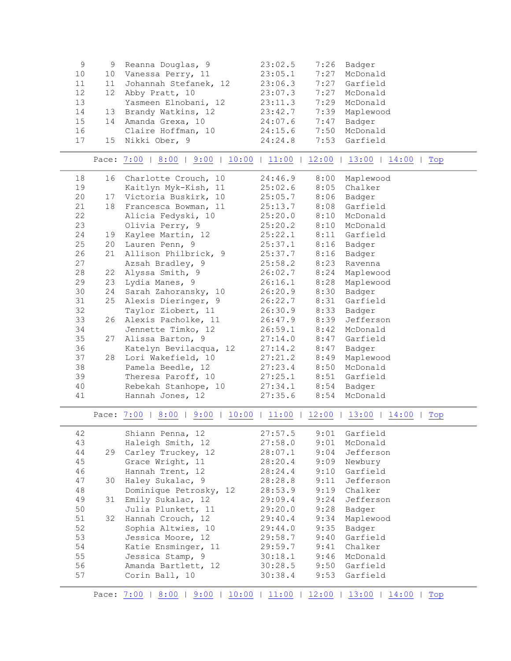<span id="page-2-0"></span>

| $\,9$ | 9  | Reanna Douglas, 9                                                | 23:02.5 | 7:26 | Badger                                           |
|-------|----|------------------------------------------------------------------|---------|------|--------------------------------------------------|
| 10    | 10 | Vanessa Perry, 11                                                | 23:05.1 | 7:27 | McDonald                                         |
| 11    | 11 | Johannah Stefanek, 12                                            | 23:06.3 | 7:27 | Garfield                                         |
| 12    | 12 | Abby Pratt, 10                                                   | 23:07.3 | 7:27 | McDonald                                         |
| 13    |    | Yasmeen Elnobani, 12                                             | 23:11.3 |      | 7:29 McDonald                                    |
| 14    | 13 | Brandy Watkins, 12                                               | 23:42.7 |      | 7:39 Maplewood                                   |
| 15    | 14 | Amanda Grexa, 10                                                 | 24:07.6 | 7:47 | Badger                                           |
| 16    |    | Claire Hoffman, 10                                               | 24:15.6 | 7:50 | McDonald                                         |
| 17    | 15 | Nikki Ober, 9                                                    | 24:24.8 | 7:53 | Garfield                                         |
|       |    |                                                                  |         |      |                                                  |
|       |    | Pace: 7:00   8:00   9:00   10:00   11:00   12:00   13:00   14:00 |         |      | Top                                              |
| 18    | 16 | Charlotte Crouch, 10                                             | 24:46.9 | 8:00 | Maplewood                                        |
| 19    |    | Kaitlyn Myk-Kish, 11                                             | 25:02.6 |      | 8:05 Chalker                                     |
| 20    | 17 | Victoria Buskirk, 10                                             | 25:05.7 |      | 8:06 Badger                                      |
| 21    | 18 | Francesca Bowman, 11                                             | 25:13.7 |      | 8:08 Garfield                                    |
| 22    |    | Alicia Fedyski, 10                                               | 25:20.0 | 8:10 | McDonald                                         |
| 23    |    | Olivia Perry, 9                                                  | 25:20.2 | 8:10 | McDonald                                         |
| 24    | 19 | Kaylee Martin, 12                                                | 25:22.1 |      | 8:11 Garfield                                    |
| 25    | 20 | Lauren Penn, 9                                                   | 25:37.1 | 8:16 | Badger                                           |
| 26    | 21 | Allison Philbrick, 9                                             | 25:37.7 | 8:16 | Badger                                           |
| 27    |    | Azsah Bradley, 9                                                 | 25:58.2 | 8:23 | Ravenna                                          |
| 28    | 22 | Alyssa Smith, 9                                                  | 26:02.7 |      | 8:24 Maplewood                                   |
| 29    | 23 | Lydia Manes, 9                                                   | 26:16.1 |      | 8:28 Maplewood                                   |
| 30    | 24 | Sarah Zahoransky, 10                                             | 26:20.9 | 8:30 | Badger                                           |
| 31    | 25 | Alexis Dieringer, 9                                              | 26:22.7 | 8:31 | Garfield                                         |
| 32    |    | Taylor Ziobert, 11                                               | 26:30.9 | 8:33 | Badger                                           |
| 33    | 26 | Alexis Pacholke, 11                                              | 26:47.9 | 8:39 | Jefferson                                        |
| 34    |    | Jennette Timko, 12                                               | 26:59.1 | 8:42 | McDonald                                         |
| 35    | 27 | Alissa Barton, 9                                                 | 27:14.0 | 8:47 | Garfield                                         |
| 36    |    | Katelyn Bevilacqua, 12                                           | 27:14.2 | 8:47 | Badger                                           |
| 37    | 28 | Lori Wakefield, 10                                               | 27:21.2 | 8:49 | Maplewood                                        |
| 38    |    | Pamela Beedle, 12                                                | 27:23.4 | 8:50 | McDonald                                         |
| 39    |    | Theresa Paroff, 10                                               | 27:25.1 |      | 8:51 Garfield                                    |
| 40    |    | Rebekah Stanhope, 10                                             | 27:34.1 | 8:54 | Badger                                           |
| 41    |    | Hannah Jones, 12                                                 | 27:35.6 | 8:54 | McDonald                                         |
|       |    | Pace: 7:00   8:00   9:00                                         |         |      | $10:00$   11:00   12:00   13:00   14:00  <br>Top |
|       |    |                                                                  |         |      |                                                  |
| 42    |    | Shiann Penna, 12                                                 | 27:57.5 |      | 9:01 Garfield                                    |
| 43    |    | Haleigh Smith, 12                                                | 27:58.0 | 9:01 | McDonald                                         |
| 44    | 29 | Carley Truckey, 12                                               | 28:07.1 | 9:04 | Jefferson                                        |
| 45    |    | Grace Wright, 11                                                 | 28:20.4 | 9:09 | Newbury                                          |
| 46    |    | Hannah Trent, 12                                                 | 28:24.4 | 9:10 | Garfield                                         |
| 47    | 30 | Haley Sukalac, 9                                                 | 28:28.8 | 9:11 | Jefferson                                        |
| 48    |    | Dominique Petrosky, 12                                           | 28:53.9 | 9:19 | Chalker                                          |
| 49    | 31 | Emily Sukalac, 12                                                | 29:09.4 | 9:24 | Jefferson                                        |
| 50    |    | Julia Plunkett, 11                                               | 29:20.0 | 9:28 | Badger                                           |
| 51    | 32 | Hannah Crouch, 12                                                | 29:40.4 | 9:34 | Maplewood                                        |
| 52    |    | Sophia Altwies, 10                                               | 29:44.0 | 9:35 | Badger                                           |
| 53    |    | Jessica Moore, 12                                                | 29:58.7 | 9:40 | Garfield                                         |
| 54    |    | Katie Ensminger, 11                                              | 29:59.7 | 9:41 | Chalker                                          |
| 55    |    | Jessica Stamp, 9                                                 | 30:18.1 | 9:46 | McDonald                                         |
| 56    |    | Amanda Bartlett, 12                                              | 30:28.5 | 9:50 | Garfield                                         |
| 57    |    | Corin Ball, 10                                                   | 30:38.4 | 9:53 | Garfield                                         |
|       |    |                                                                  |         |      |                                                  |

<span id="page-2-2"></span><span id="page-2-1"></span>Pace: [7:00](#page-1-1) | [8:00](#page-2-0) | [9:00](#page-2-1) | [10:00](#page-2-2) | [11:00](#page-3-0) | [12:00](#page-3-1) | 13:00 | [14:00](#page-3-2) | Top